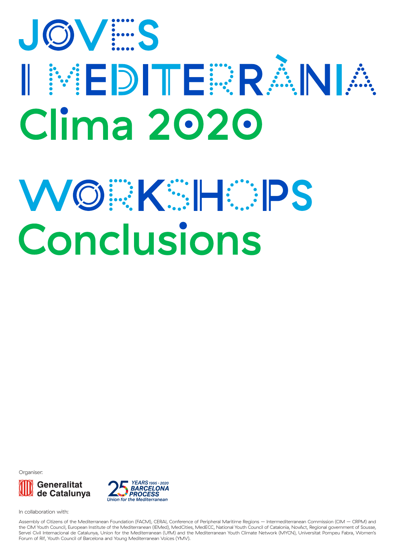# JOV S I NEDITERANA **Clima 2020**

## WORKSHOS Conclusions

Organiser





In collaboration with:

Assembly of Citizens of the Mediterranean Foundation (FACM), CERAI, Conference of Peripheral Maritime Regions – Intermediterranean Commission (CIM – CRPM) and the CIM Youth Council, European Institute of the Mediterranean (IEMed), MedCities, MedECC, National Youth Council of Catalonia, NovAct, Regional government of Sousse, Servei Civil Internacional de Catalunya, Union for the Mediterranean (UfM) and the Mediterranean Youth Climate Network (MYCN), Universitat Pompeu Fabra, Women's Forum of Rif, Youth Council of Barcelona and Young Mediterranean Voices (YMV).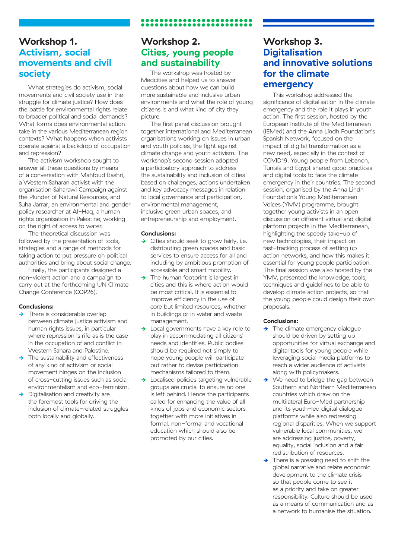## **Workshop 1. Activism, social movements and civil society**

What strategies do activism, social movements and civil society use in the struggle for climate justice? How does the battle for environmental rights relate to broader political and social demands? What forms does environmental action take in the various Mediterranean region contexts? What happens when activists operate against a backdrop of occupation and repression?

The activism workshop sought to answer all these questions by means of a conversation with Mahfoud Bashri, a Western Saharan activist with the organisation Saharawi Campaign against the Plunder of Natural Resources, and Suha Jarrar, an environmental and gender policy researcher at Al-Haq, a human rights organisation in Palestine, working on the right of access to water.

The theoretical discussion was followed by the presentation of tools, strategies and a range of methods for taking action to put pressure on political authorities and bring about social change.

Finally, the participants designed a non-violent action and a campaign to carry out at the forthcoming UN Climate Change Conference (COP26).

#### **Conclusions:**

- **→** There is considerable overlap between climate justice activism and human rights issues, in particular where repression is rife as is the case in the occupation of and conflict in Western Sahara and Palestine.
- The sustainability and effectiveness of any kind of activism or social movement hinges on the inclusion of cross-cutting issues such as social environmentalism and eco-feminism.
- Digitalisation and creativity are the foremost tools for driving the inclusion of climate-related struggles both locally and globally.

## **Workshop 2. Cities, young people and sustainability**

The workshop was hosted by Medcities and helped us to answer questions about how we can build more sustainable and inclusive urban environments and what the role of young citizens is and what kind of city they picture.

The first panel discussion brought together international and Mediterranean organisations working on issues in urban and youth policies, the fight against climate change and youth activism. The workshop's second session adopted a participatory approach to address the sustainability and inclusion of cities based on challenges, actions undertaken and key advocacy messages in relation to local governance and participation, environmental management, inclusive green urban spaces, and entrepreneurship and employment.

#### **Conclusions:**

- **→** Cities should seek to grow fairly, i.e. distributing green spaces and basic services to ensure access for all and including by ambitious promotion of accessible and smart mobility.
- **→** The human footprint is largest in cities and this is where action would be most critical. It is essential to improve efficiency in the use of core but limited resources, whether in buildings or in water and waste management.
- **→** Local governments have a key role to play in accommodating all citizens' needs and identities. Public bodies should be required not simply to hope young people will participate but rather to devise participation mechanisms tailored to them.
- Localised policies targeting vulnerable groups are crucial to ensure no one is left behind. Hence the participants called for enhancing the value of all kinds of jobs and economic sectors together with more initiatives in formal, non-formal and vocational education which should also be promoted by our cities.

## **Workshop 3. Digitalisation and innovative solutions for the climate emergency**

This workshop addressed the significance of digitalisation in the climate emergency and the role it plays in youth action. The first session, hosted by the European Institute of the Mediterranean (IEMed) and the Anna Lindh Foundation's Spanish Network, focused on the impact of digital transformation as a new need, especially in the context of COVID19. Young people from Lebanon, Tunisia and Egypt shared good practices and digital tools to face the climate emergency in their countries. The second session, organised by the Anna Lindh Foundation's Young Mediterranean Voices (YMV) programme, brought together young activists in an open discussion on different virtual and digital platform projects in the Mediterranean, highlighting the speedy take-up of new technologies, their impact on fast-tracking process of setting up action networks, and how this makes it essential for young people participation. The final session was also hosted by the YMV, presented the knowledge, tools, techniques and guidelines to be able to develop climate action projects, so that the young people could design their own proposals.

#### **Conclusions:**

- **→** The climate emergency dialogue should be driven by setting up opportunities for virtual exchange and digital tools for young people while leveraging social media platforms to reach a wider audience of activists along with policymakers.
- We need to bridge the gap between Southern and Northern Mediterranean countries which draw on the multilateral Euro-Med partnership and its youth-led digital dialogue platforms while also redressing regional disparities. When we support vulnerable local communities, we are addressing justice, poverty, equality, social inclusion and a fair redistribution of resources.
- **→** There is a pressing need to shift the global narrative and relate economic development to the climate crisis so that people come to see it as a priority and take on greater responsibility. Culture should be used as a means of communication and as a network to humanise the situation.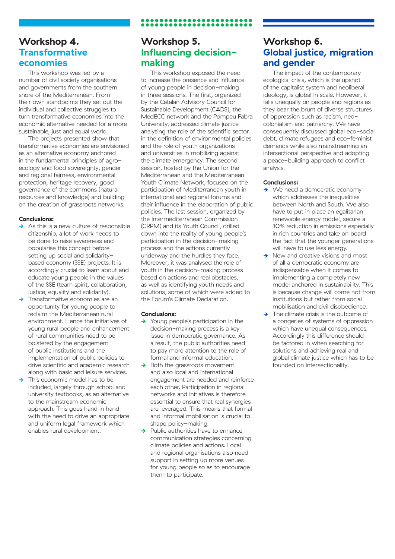### **Workshop 4. Transformative economies**

This workshop was led by a number of civil society organisations and governments from the southern shore of the Mediterranean. From their own standpoints they set out the individual and collective struggles to turn transformative economies into the economic alternative needed for a more sustainable, just and equal world.

The projects presented show that transformative economies are envisioned as an alternative economy anchored in the fundamental principles of agroecology and food sovereignty, gender and regional fairness, environmental protection, heritage recovery, good governance of the commons (natural resources and knowledge) and building on the creation of grassroots networks.

#### **Conclusions:**

- **→** As this is a new culture of responsible citizenship, a lot of work needs to be done to raise awareness and popularise this concept before setting up social and solidaritybased economy (SSE) projects. It is accordingly crucial to learn about and educate young people in the values of the SSE (team spirit, collaboration, justice, equality and solidarity).
- **→** Transformative economies are an opportunity for young people to reclaim the Mediterranean rural environment. Hence the initiatives of young rural people and enhancement of rural communities need to be bolstered by the engagement of public institutions and the implementation of public policies to drive scientific and academic research along with basic and leisure services.
- This economic model has to be included, largely through school and university textbooks, as an alternative to the mainstream economic approach. This goes hand in hand with the need to drive an appropriate and uniform legal framework which enables rural development.

## **Workshop 5. Influencing decisionmaking**

This workshop exposed the need to increase the presence and influence of young people in decision-making in three sessions. The first, organized by the Catalan Advisory Council for Sustainable Development (CADS), the MedECC network and the Pompeu Fabra University, addressed climate justice analysing the role of the scientific sector in the definition of environmental policies and the role of youth organizations and universities in mobilizing against the climate emergency. The second session, hosted by the Union for the Mediterranean and the Mediterranean Youth Climate Network, focused on the participation of Mediterranean youth in international and regional forums and their influence in the elaboration of public policies. The last session, organized by the Intermediterranean Commission (CRPM) and its Youth Council, drilled down into the reality of young people's participation in the decision-making process and the actions currently underway and the hurdles they face. Moreover, it was analysed the role of youth in the decision-making process based on actions and real obstacles, as well as identifying youth needs and solutions, some of which were added to the Forum's Climate Declaration.

#### **Conclusions:**

- **→** Young people's participation in the decision-making process is a key issue in democratic governance. As a result, the public authorities need to pay more attention to the role of formal and informal education.
- **→** Both the grassroots movement and also local and international engagement are needed and reinforce each other. Participation in regional networks and initiatives is therefore essential to ensure that real synergies are leveraged. This means that formal and informal mobilisation is crucial to shape policy-making.
- **→** Public authorities have to enhance communication strategies concerning climate policies and actions. Local and regional organisations also need support in setting up more venues for young people so as to encourage them to participate.

## **Workshop 6. Global justice, migration and gender**

The impact of the contemporary ecological crisis, which is the upshot of the capitalist system and neoliberal ideology, is global in scale. However, it falls unequally on people and regions as they bear the brunt of diverse structures of oppression such as racism, neocolonialism and patriarchy. We have consequently discussed global eco-social debt, climate refugees and eco-feminist demands while also mainstreaming an intersectional perspective and adopting a peace-building approach to conflict analysis.

#### **Conclusions:**

- **→** We need a democratic economy which addresses the inequalities between North and South. We also have to put in place an egalitarian renewable energy model, secure a 10% reduction in emissions especially in rich countries and take on board the fact that the younger generations will have to use less energy.
- **→** New and creative visions and most of all a democratic economy are indispensable when it comes to implementing a completely new model anchored in sustainability. This is because change will come not from institutions but rather from social mobilisation and civil disobedience.
- **→** The climate crisis is the outcome of a congeries of systems of oppression which have unequal consequences. Accordingly this difference should be factored in when searching for solutions and achieving real and global climate justice which has to be founded on intersectionality.